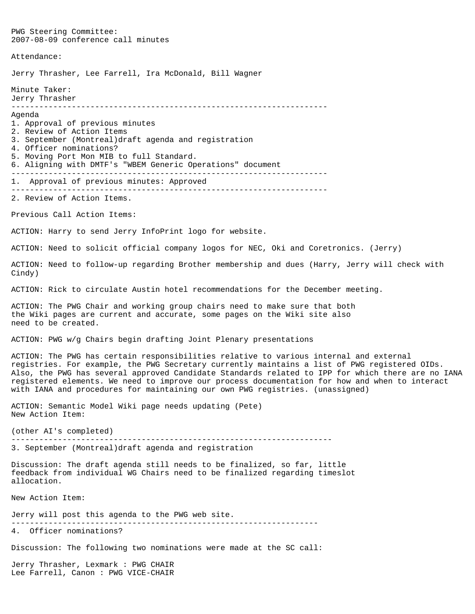PWG Steering Committee: 2007-08-09 conference call minutes Attendance: Jerry Thrasher, Lee Farrell, Ira McDonald, Bill Wagner Minute Taker: Jerry Thrasher -------------------------------------------------------------------- Agenda 1. Approval of previous minutes 2. Review of Action Items 3. September (Montreal)draft agenda and registration 4. Officer nominations? 5. Moving Port Mon MIB to full Standard. 6. Aligning with DMTF's "WBEM Generic Operations" document -------------------------------------------------------------------- 1. Approval of previous minutes: Approved -------------------------------------------------------------------- 2. Review of Action Items. Previous Call Action Items: ACTION: Harry to send Jerry InfoPrint logo for website. ACTION: Need to solicit official company logos for NEC, Oki and Coretronics. (Jerry) ACTION: Need to follow-up regarding Brother membership and dues (Harry, Jerry will check with Cindy) ACTION: Rick to circulate Austin hotel recommendations for the December meeting. ACTION: The PWG Chair and working group chairs need to make sure that both the Wiki pages are current and accurate, some pages on the Wiki site also need to be created. ACTION: PWG w/g Chairs begin drafting Joint Plenary presentations ACTION: The PWG has certain responsibilities relative to various internal and external registries. For example, the PWG Secretary currently maintains a list of PWG registered OIDs. Also, the PWG has several approved Candidate Standards related to IPP for which there are no IANA registered elements. We need to improve our process documentation for how and when to interact with IANA and procedures for maintaining our own PWG registries. (unassigned) ACTION: Semantic Model Wiki page needs updating (Pete) New Action Item: (other AI's completed) --------------------------------------------------------------------- 3. September (Montreal)draft agenda and registration Discussion: The draft agenda still needs to be finalized, so far, little feedback from individual WG Chairs need to be finalized regarding timeslot allocation. New Action Item: Jerry will post this agenda to the PWG web site. ------------------------------------------------------------------ 4. Officer nominations? Discussion: The following two nominations were made at the SC call: Jerry Thrasher, Lexmark : PWG CHAIR

Lee Farrell, Canon : PWG VICE-CHAIR